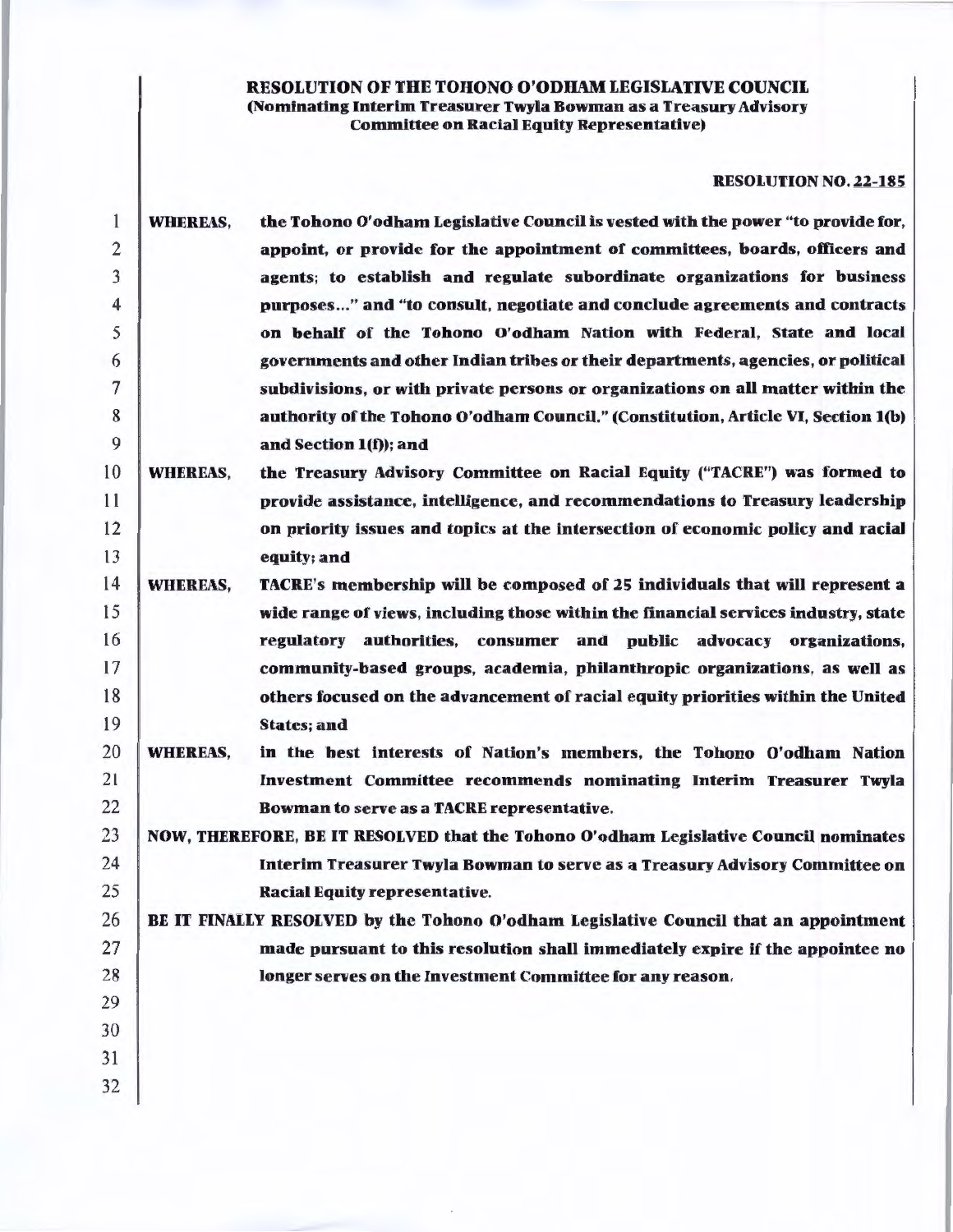## RESOLUTION OF THE TOHONO O'ODHAM LEGISLATIVE COUNCIL (Nominating Interim Treasurer Twyla Bowman as a Treasury Advisory Committee on Racial Equity Representative)

### RESOLUTION NO. 22-ISS

| 1              | <b>WHEREAS,</b> | the Tohono O'odham Legislative Council is vested with the power "to provide for,     |
|----------------|-----------------|--------------------------------------------------------------------------------------|
| $\overline{2}$ |                 | appoint, or provide for the appointment of committees, boards, officers and          |
| 3              |                 | agents; to establish and regulate subordinate organizations for business             |
| $\overline{4}$ |                 | purposes" and "to consult, negotiate and conclude agreements and contracts           |
| 5              |                 | on behalf of the Tohono O'odham Nation with Federal, State and local                 |
| 6              |                 | governments and other Indian tribes or their departments, agencies, or political     |
| 7              |                 | subdivisions, or with private persons or organizations on all matter within the      |
| 8              |                 | authority of the Tohono O'odham Council." (Constitution, Article VI, Section 1(b)    |
| 9              |                 | and Section 1(f)); and                                                               |
| 10             | <b>WHEREAS,</b> | the Treasury Advisory Committee on Racial Equity ("TACRE") was formed to             |
| 11             |                 | provide assistance, intelligence, and recommendations to Treasury leadership         |
| 12             |                 | on priority issues and topics at the intersection of economic policy and racial      |
| 13             |                 | equity; and                                                                          |
| 14             | <b>WHEREAS,</b> | TACRE's membership will be composed of 25 individuals that will represent a          |
| 15             |                 | wide range of views, including those within the financial services industry, state   |
| 16             |                 | regulatory authorities, consumer and public advocacy organizations,                  |
| 17             |                 | community-based groups, academia, philanthropic organizations, as well as            |
| 18             |                 | others focused on the advancement of racial equity priorities within the United      |
| 19             |                 | <b>States; and</b>                                                                   |
| 20             | <b>WHEREAS,</b> | in the best interests of Nation's members, the Tohono O'odham Nation                 |
| 21             |                 | Investment Committee recommends nominating Interim Treasurer Twyla                   |
| 22             |                 | Bowman to serve as a TACRE representative.                                           |
| 23             |                 | NOW, THEREFORE, BE IT RESOLVED that the Tohono O'odham Legislative Council nominates |
| 24             |                 | Interim Treasurer Twyla Bowman to serve as a Treasury Advisory Committee on          |
| 25             |                 | Racial Equity representative.                                                        |
| 26             |                 | BE IT FINALLY RESOLVED by the Tohono O'odham Legislative Council that an appointment |
| 27             |                 | made pursuant to this resolution shall immediately expire if the appointee no        |
| 28             |                 | longer serves on the Investment Committee for any reason.                            |
| 29             |                 |                                                                                      |
| 30             |                 |                                                                                      |
| 31             |                 |                                                                                      |
| 32             |                 |                                                                                      |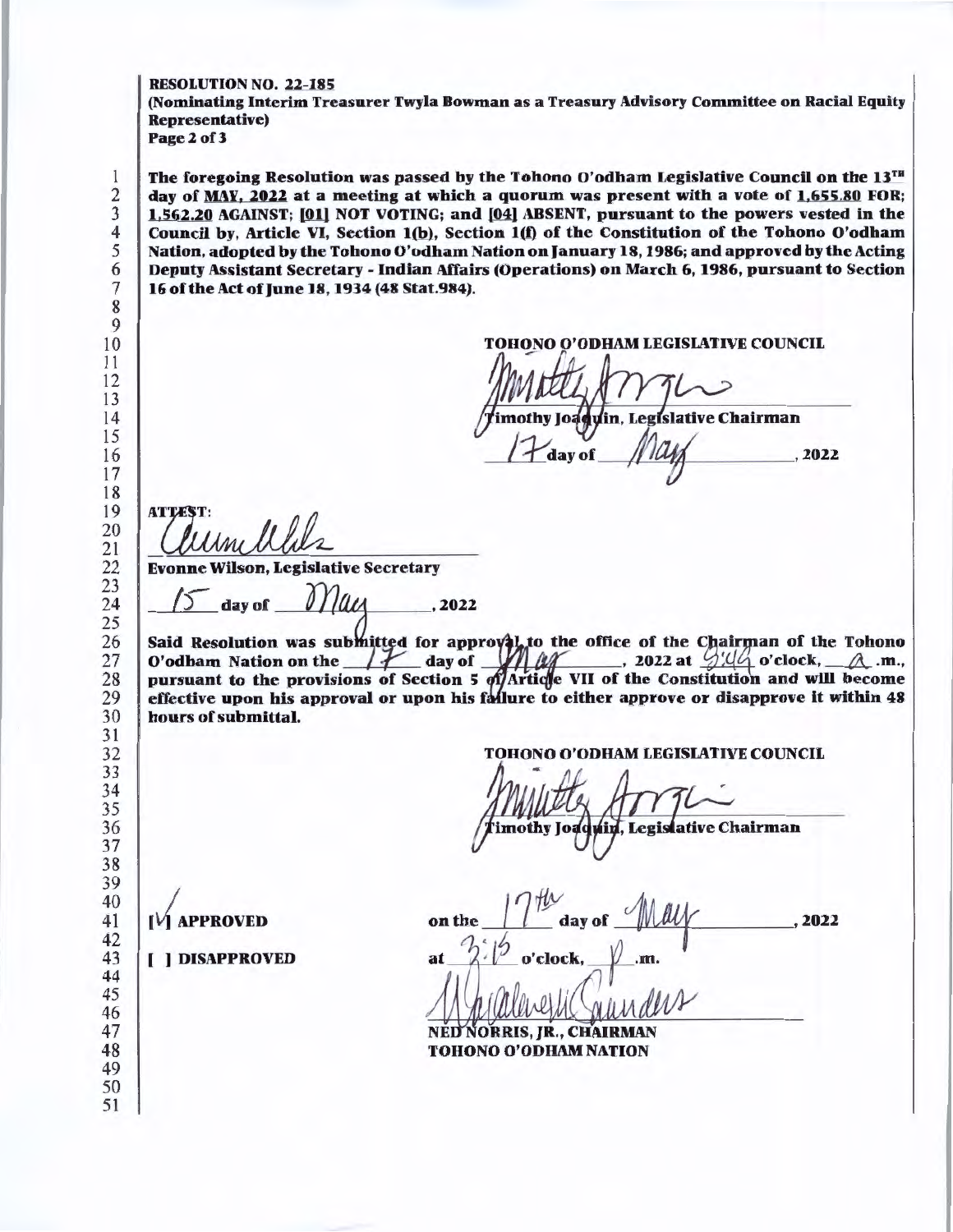RESOLUTION NO. 22-185

(Nominating Interim Treasurer Twyla Bowman as a Treasury Advisory Committee on Racial Equity Representative) Page 2 of 3

The foregoing Resolution was passed by the Tohono O'odham Legislative Council on the  $13^{TH}$ day of MAY. 2022 at a meeting at which a quorum was present with a vote of 1.655.80 FOR; 1,562.20 AGAINST: [01] NOT VOTING; and [04] ABSENT, pursuant to the powers vested in the Council by, Article VI, Section 1(b), Section 1(f) of the Constitution of the Tohono O'odham Nation, adopted by the Tohono O'odham Nation on January 18, 1986; and approved by the Acting Deputy Assistant Secretary- Indian Affairs (Operations) on March 6, 1986, pursuant to Section 16 of the Act of June 18, 1934 (48 Stat.984).

TOHONO O'ODHAM LEGISLATIVE COUNCIL

mothy Joaquin, Legislative Chairman , 2022

ATTEST:

Evonne Wilson, Legislative Secretary

day of  $.2022$ 

 $d$  for approval, to the office of the Chairman of the Tohono O'odham Nation on the  $1+$  day of  $1+4$  ay  $-$ , 2022 at  $-$ 1.  $\sim$  o'clock,  $-$  .m., pursuant to the provisions of Section 5 of/Article VII of the Constitution and will become effective upon his approval or upon his failure to either approve or disapprove it within 48 hours of submittal.

TOHONO O'ODHAM LEGISLATIVE COUNCIL

imothy Joaquin, Legislative Chairman

 $\sqrt{q}$  APPROVED on the  $\frac{1}{\sqrt{q}}$  day of  $\frac{1}{\sqrt{q}}$   $\frac{1}{\sqrt{q}}$  . 2022  $[ ]$  DISAPPROVED at  $2\sqrt{ }$  o'clock

NED NORRIS, IR., CHAIRMAN TOHONO O'ODRAM NATION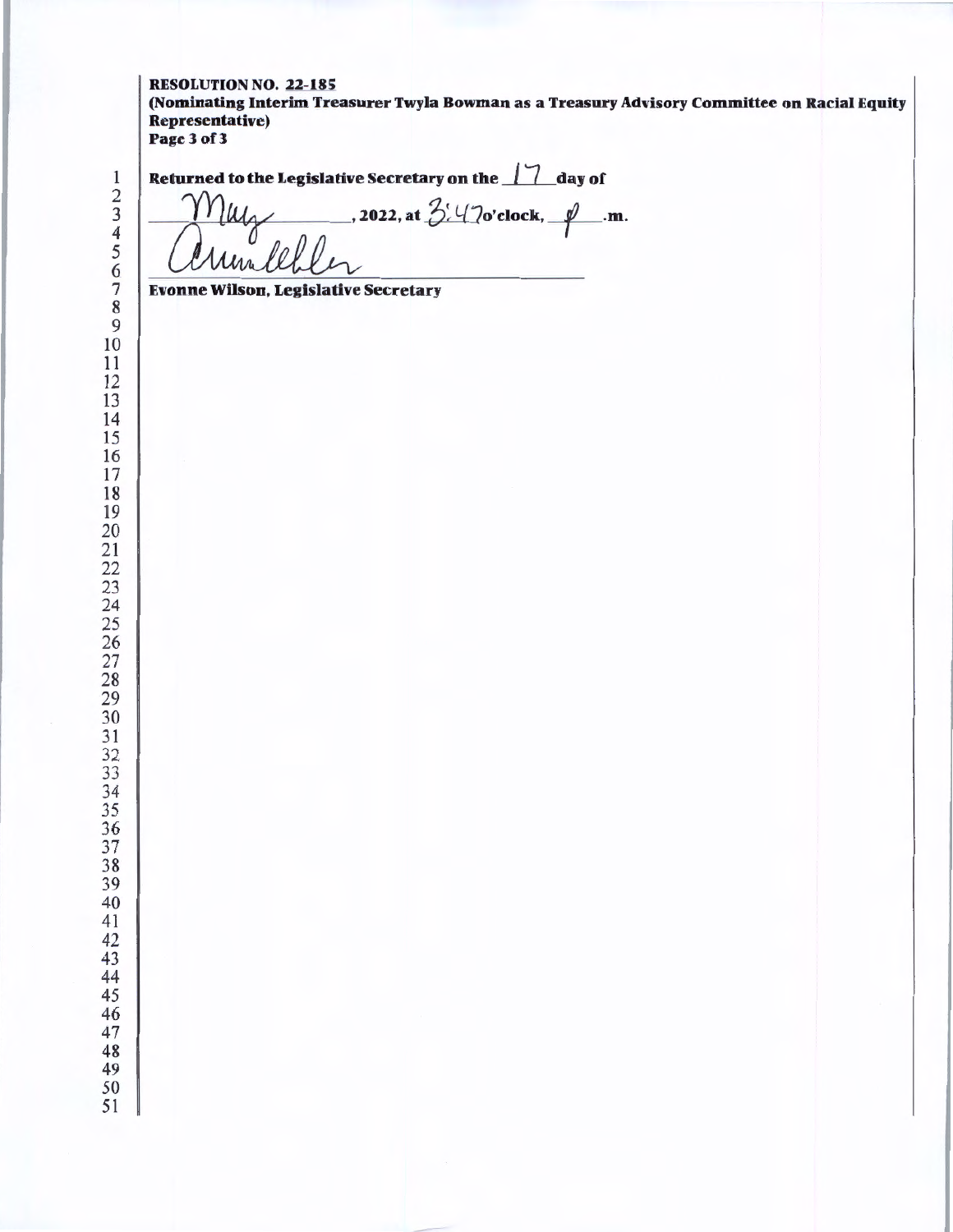#### RESOLUTION NO. 22-185

(Nominating Interim Treasurer Twyla Bowman as a Treas ury Advisory Committee on Racial Equity Representative) Page3of 3

1 Returned to the Legislative Secretary on the <sup>J</sup>J day of l <sup>2022</sup> , at Q: l/7o'clock,--f- ·m·

Evonne Wilson, Legislative Secretary